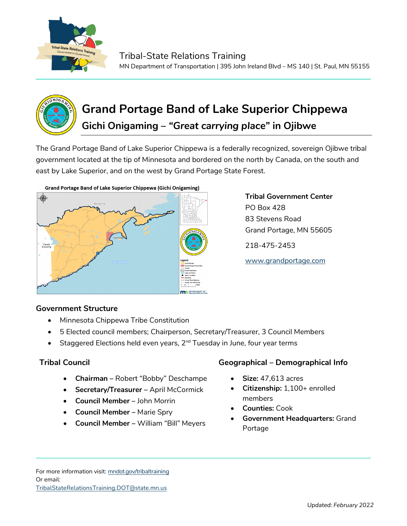



# **Grand Portage Band of Lake Superior Chippewa Gichi Onigaming –** *"Great carrying place"* **in Ojibwe**

The Grand Portage Band of Lake Superior Chippewa is a federally recognized, sovereign Ojibwe tribal government located at the tip of Minnesota and bordered on the north by Canada, on the south and east by Lake Superior, and on the west by Grand Portage State Forest.



**Grand Portage Band of Lake Superior Chippewa (Gichi Onigaming)** 

**Tribal Government Center** PO Box 428 83 Stevens Road Grand Portage, MN 55605 218-475-2453

[www.grandportage.com](http://www.grandportage.com/)

## **Government Structure**

- Minnesota Chippewa Tribe Constitution
- 5 Elected council members; Chairperson, Secretary/Treasurer, 3 Council Members
- Staggered Elections held even years, 2<sup>nd</sup> Tuesday in June, four year terms

- **Chairman –** Robert "Bobby" Deschampe
- **Secretary/Treasurer –** April McCormick
- **Council Member** John Morrin
- **Council Member –** Marie Spry
- **Council Member** William "Bill" Meyers

## **Tribal Council Geographical – Demographical Info**

- **Size:** 47,613 acres
- **Citizenship:** 1,100+ enrolled members
- **Counties:** Cook
- **Government Headquarters:** Grand Portage

For more information visit: mndot.gov/tribaltraining Or email: TribalStateRelationsTraining.DOT@state.mn.us